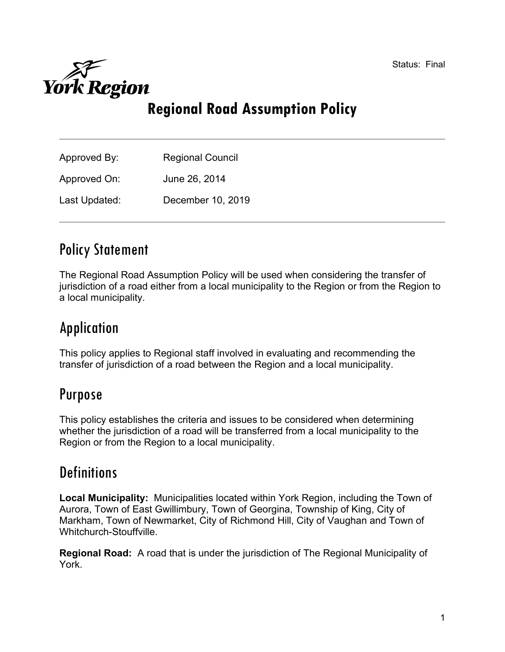Status: Final



# Regional Road Assumption Policy

| Approved By:  | <b>Regional Council</b> |
|---------------|-------------------------|
| Approved On:  | June 26, 2014           |
| Last Updated: | December 10, 2019       |

## Policy Statement

The Regional Road Assumption Policy will be used when considering the transfer of jurisdiction of a road either from a local municipality to the Region or from the Region to a local municipality.

# Application

This policy applies to Regional staff involved in evaluating and recommending the transfer of jurisdiction of a road between the Region and a local municipality.

### Purpose

This policy establishes the criteria and issues to be considered when determining whether the jurisdiction of a road will be transferred from a local municipality to the Region or from the Region to a local municipality.

## **Definitions**

Local Municipality: Municipalities located within York Region, including the Town of Aurora, Town of East Gwillimbury, Town of Georgina, Township of King, City of Markham, Town of Newmarket, City of Richmond Hill, City of Vaughan and Town of Whitchurch-Stouffville.

Regional Road: A road that is under the jurisdiction of The Regional Municipality of York.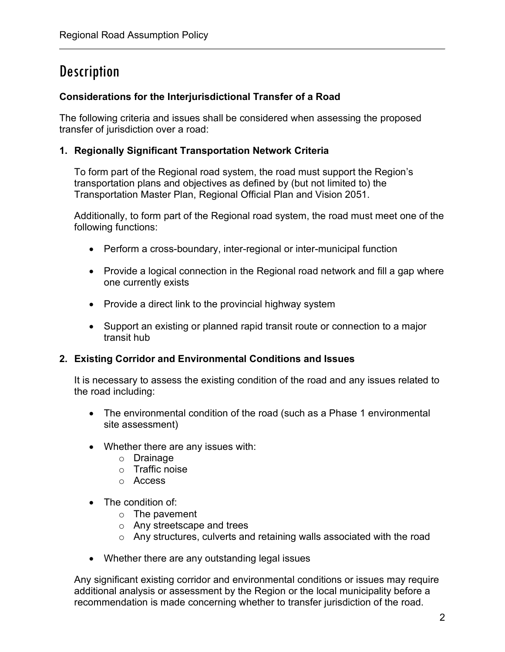## **Description**

### Considerations for the Interjurisdictional Transfer of a Road

The following criteria and issues shall be considered when assessing the proposed transfer of jurisdiction over a road:

#### 1. Regionally Significant Transportation Network Criteria

To form part of the Regional road system, the road must support the Region's transportation plans and objectives as defined by (but not limited to) the Transportation Master Plan, Regional Official Plan and Vision 2051.

Additionally, to form part of the Regional road system, the road must meet one of the following functions:

- Perform a cross-boundary, inter-regional or inter-municipal function
- Provide a logical connection in the Regional road network and fill a gap where one currently exists
- Provide a direct link to the provincial highway system
- Support an existing or planned rapid transit route or connection to a major transit hub

### 2. Existing Corridor and Environmental Conditions and Issues

It is necessary to assess the existing condition of the road and any issues related to the road including:

- The environmental condition of the road (such as a Phase 1 environmental site assessment)
- Whether there are any issues with:
	- o Drainage
	- o Traffic noise
	- o Access
- The condition of:
	- o The pavement
	- o Any streetscape and trees
	- o Any structures, culverts and retaining walls associated with the road
- Whether there are any outstanding legal issues

Any significant existing corridor and environmental conditions or issues may require additional analysis or assessment by the Region or the local municipality before a recommendation is made concerning whether to transfer jurisdiction of the road.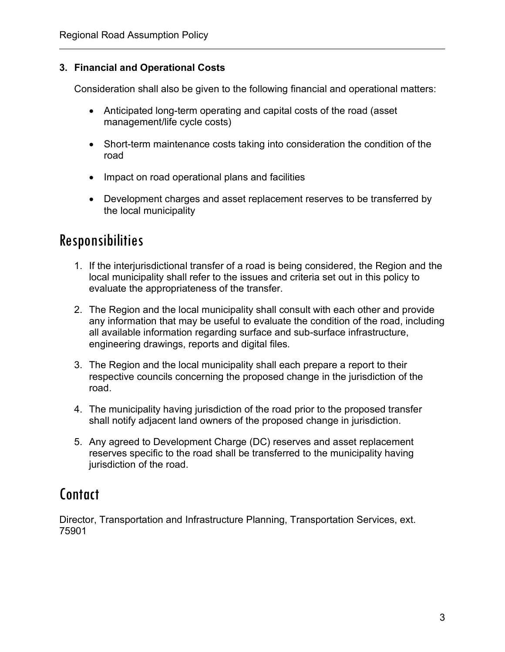### 3. Financial and Operational Costs

Consideration shall also be given to the following financial and operational matters:

- Anticipated long-term operating and capital costs of the road (asset management/life cycle costs)
- Short-term maintenance costs taking into consideration the condition of the road
- Impact on road operational plans and facilities
- Development charges and asset replacement reserves to be transferred by the local municipality

## Responsibilities

- 1. If the interjurisdictional transfer of a road is being considered, the Region and the local municipality shall refer to the issues and criteria set out in this policy to evaluate the appropriateness of the transfer.
- 2. The Region and the local municipality shall consult with each other and provide any information that may be useful to evaluate the condition of the road, including all available information regarding surface and sub-surface infrastructure, engineering drawings, reports and digital files.
- 3. The Region and the local municipality shall each prepare a report to their respective councils concerning the proposed change in the jurisdiction of the road.
- 4. The municipality having jurisdiction of the road prior to the proposed transfer shall notify adjacent land owners of the proposed change in jurisdiction.
- 5. Any agreed to Development Charge (DC) reserves and asset replacement reserves specific to the road shall be transferred to the municipality having jurisdiction of the road.

## Contact

Director, Transportation and Infrastructure Planning, Transportation Services, ext. 75901